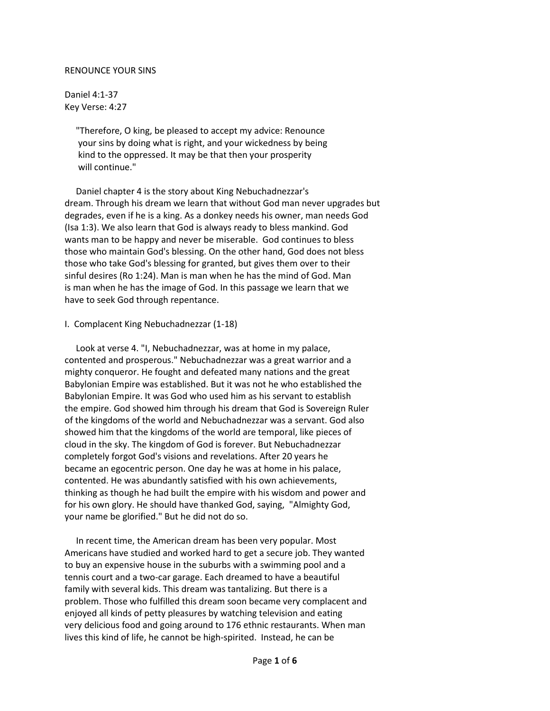## RENOUNCE YOUR SINS

Daniel 4:1-37 Key Verse: 4:27

> "Therefore, O king, be pleased to accept my advice: Renounce your sins by doing what is right, and your wickedness by being kind to the oppressed. It may be that then your prosperity will continue."

 Daniel chapter 4 is the story about King Nebuchadnezzar's dream. Through his dream we learn that without God man never upgrades but degrades, even if he is a king. As a donkey needs his owner, man needs God (Isa 1:3). We also learn that God is always ready to bless mankind. God wants man to be happy and never be miserable. God continues to bless those who maintain God's blessing. On the other hand, God does not bless those who take God's blessing for granted, but gives them over to their sinful desires (Ro 1:24). Man is man when he has the mind of God. Man is man when he has the image of God. In this passage we learn that we have to seek God through repentance.

## I. Complacent King Nebuchadnezzar (1-18)

 Look at verse 4. "I, Nebuchadnezzar, was at home in my palace, contented and prosperous." Nebuchadnezzar was a great warrior and a mighty conqueror. He fought and defeated many nations and the great Babylonian Empire was established. But it was not he who established the Babylonian Empire. It was God who used him as his servant to establish the empire. God showed him through his dream that God is Sovereign Ruler of the kingdoms of the world and Nebuchadnezzar was a servant. God also showed him that the kingdoms of the world are temporal, like pieces of cloud in the sky. The kingdom of God is forever. But Nebuchadnezzar completely forgot God's visions and revelations. After 20 years he became an egocentric person. One day he was at home in his palace, contented. He was abundantly satisfied with his own achievements, thinking as though he had built the empire with his wisdom and power and for his own glory. He should have thanked God, saying, "Almighty God, your name be glorified." But he did not do so.

 In recent time, the American dream has been very popular. Most Americans have studied and worked hard to get a secure job. They wanted to buy an expensive house in the suburbs with a swimming pool and a tennis court and a two-car garage. Each dreamed to have a beautiful family with several kids. This dream was tantalizing. But there is a problem. Those who fulfilled this dream soon became very complacent and enjoyed all kinds of petty pleasures by watching television and eating very delicious food and going around to 176 ethnic restaurants. When man lives this kind of life, he cannot be high-spirited. Instead, he can be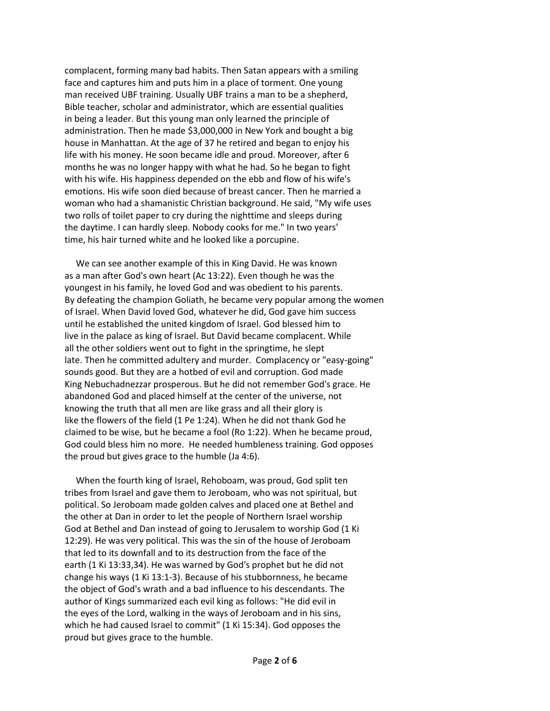complacent, forming many bad habits. Then Satan appears with a smiling face and captures him and puts him in a place of torment. One young man received UBF training. Usually UBF trains a man to be a shepherd, Bible teacher, scholar and administrator, which are essential qualities in being a leader. But this young man only learned the principle of administration. Then he made \$3,000,000 in New York and bought a big house in Manhattan. At the age of 37 he retired and began to enjoy his life with his money. He soon became idle and proud. Moreover, after 6 months he was no longer happy with what he had. So he began to fight with his wife. His happiness depended on the ebb and flow of his wife's emotions. His wife soon died because of breast cancer. Then he married a woman who had a shamanistic Christian background. He said, "My wife uses two rolls of toilet paper to cry during the nighttime and sleeps during the daytime. I can hardly sleep. Nobody cooks for me." In two years' time, his hair turned white and he looked like a porcupine.

 We can see another example of this in King David. He was known as a man after God's own heart (Ac 13:22). Even though he was the youngest in his family, he loved God and was obedient to his parents. By defeating the champion Goliath, he became very popular among the women of Israel. When David loved God, whatever he did, God gave him success until he established the united kingdom of Israel. God blessed him to live in the palace as king of Israel. But David became complacent. While all the other soldiers went out to fight in the springtime, he slept late. Then he committed adultery and murder. Complacency or "easy-going" sounds good. But they are a hotbed of evil and corruption. God made King Nebuchadnezzar prosperous. But he did not remember God's grace. He abandoned God and placed himself at the center of the universe, not knowing the truth that all men are like grass and all their glory is like the flowers of the field (1 Pe 1:24). When he did not thank God he claimed to be wise, but he became a fool (Ro 1:22). When he became proud, God could bless him no more. He needed humbleness training. God opposes the proud but gives grace to the humble (Ja 4:6).

 When the fourth king of Israel, Rehoboam, was proud, God split ten tribes from Israel and gave them to Jeroboam, who was not spiritual, but political. So Jeroboam made golden calves and placed one at Bethel and the other at Dan in order to let the people of Northern Israel worship God at Bethel and Dan instead of going to Jerusalem to worship God (1 Ki 12:29). He was very political. This was the sin of the house of Jeroboam that led to its downfall and to its destruction from the face of the earth (1 Ki 13:33,34). He was warned by God's prophet but he did not change his ways (1 Ki 13:1-3). Because of his stubbornness, he became the object of God's wrath and a bad influence to his descendants. The author of Kings summarized each evil king as follows: "He did evil in the eyes of the Lord, walking in the ways of Jeroboam and in his sins, which he had caused Israel to commit" (1 Ki 15:34). God opposes the proud but gives grace to the humble.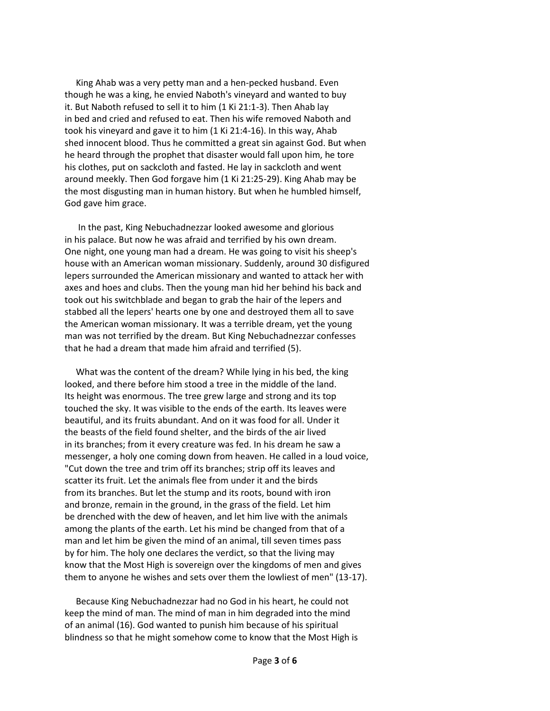King Ahab was a very petty man and a hen-pecked husband. Even though he was a king, he envied Naboth's vineyard and wanted to buy it. But Naboth refused to sell it to him (1 Ki 21:1-3). Then Ahab lay in bed and cried and refused to eat. Then his wife removed Naboth and took his vineyard and gave it to him (1 Ki 21:4-16). In this way, Ahab shed innocent blood. Thus he committed a great sin against God. But when he heard through the prophet that disaster would fall upon him, he tore his clothes, put on sackcloth and fasted. He lay in sackcloth and went around meekly. Then God forgave him (1 Ki 21:25-29). King Ahab may be the most disgusting man in human history. But when he humbled himself, God gave him grace.

 In the past, King Nebuchadnezzar looked awesome and glorious in his palace. But now he was afraid and terrified by his own dream. One night, one young man had a dream. He was going to visit his sheep's house with an American woman missionary. Suddenly, around 30 disfigured lepers surrounded the American missionary and wanted to attack her with axes and hoes and clubs. Then the young man hid her behind his back and took out his switchblade and began to grab the hair of the lepers and stabbed all the lepers' hearts one by one and destroyed them all to save the American woman missionary. It was a terrible dream, yet the young man was not terrified by the dream. But King Nebuchadnezzar confesses that he had a dream that made him afraid and terrified (5).

 What was the content of the dream? While lying in his bed, the king looked, and there before him stood a tree in the middle of the land. Its height was enormous. The tree grew large and strong and its top touched the sky. It was visible to the ends of the earth. Its leaves were beautiful, and its fruits abundant. And on it was food for all. Under it the beasts of the field found shelter, and the birds of the air lived in its branches; from it every creature was fed. In his dream he saw a messenger, a holy one coming down from heaven. He called in a loud voice, "Cut down the tree and trim off its branches; strip off its leaves and scatter its fruit. Let the animals flee from under it and the birds from its branches. But let the stump and its roots, bound with iron and bronze, remain in the ground, in the grass of the field. Let him be drenched with the dew of heaven, and let him live with the animals among the plants of the earth. Let his mind be changed from that of a man and let him be given the mind of an animal, till seven times pass by for him. The holy one declares the verdict, so that the living may know that the Most High is sovereign over the kingdoms of men and gives them to anyone he wishes and sets over them the lowliest of men" (13-17).

 Because King Nebuchadnezzar had no God in his heart, he could not keep the mind of man. The mind of man in him degraded into the mind of an animal (16). God wanted to punish him because of his spiritual blindness so that he might somehow come to know that the Most High is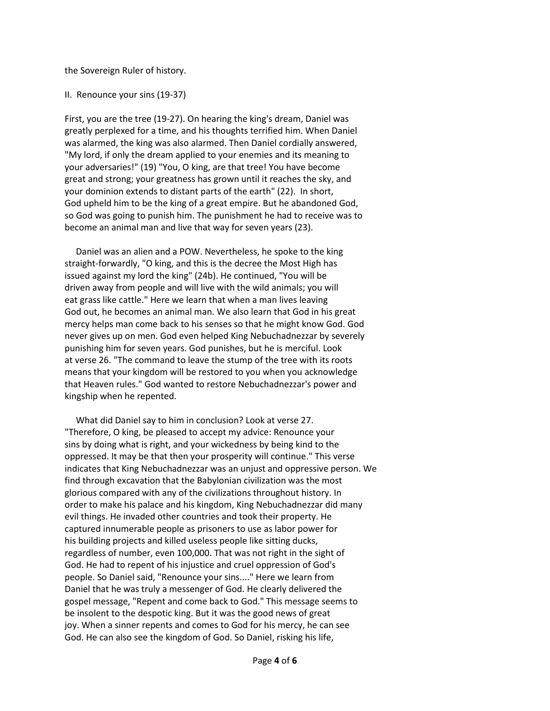the Sovereign Ruler of history.

## II. Renounce your sins (19-37)

First, you are the tree (19-27). On hearing the king's dream, Daniel was greatly perplexed for a time, and his thoughts terrified him. When Daniel was alarmed, the king was also alarmed. Then Daniel cordially answered, "My lord, if only the dream applied to your enemies and its meaning to your adversaries!" (19) "You, O king, are that tree! You have become great and strong; your greatness has grown until it reaches the sky, and your dominion extends to distant parts of the earth" (22). In short, God upheld him to be the king of a great empire. But he abandoned God, so God was going to punish him. The punishment he had to receive was to become an animal man and live that way for seven years (23).

 Daniel was an alien and a POW. Nevertheless, he spoke to the king straight-forwardly, "O king, and this is the decree the Most High has issued against my lord the king" (24b). He continued, "You will be driven away from people and will live with the wild animals; you will eat grass like cattle." Here we learn that when a man lives leaving God out, he becomes an animal man. We also learn that God in his great mercy helps man come back to his senses so that he might know God. God never gives up on men. God even helped King Nebuchadnezzar by severely punishing him for seven years. God punishes, but he is merciful. Look at verse 26. "The command to leave the stump of the tree with its roots means that your kingdom will be restored to you when you acknowledge that Heaven rules." God wanted to restore Nebuchadnezzar's power and kingship when he repented.

 What did Daniel say to him in conclusion? Look at verse 27. "Therefore, O king, be pleased to accept my advice: Renounce your sins by doing what is right, and your wickedness by being kind to the oppressed. It may be that then your prosperity will continue." This verse indicates that King Nebuchadnezzar was an unjust and oppressive person. We find through excavation that the Babylonian civilization was the most glorious compared with any of the civilizations throughout history. In order to make his palace and his kingdom, King Nebuchadnezzar did many evil things. He invaded other countries and took their property. He captured innumerable people as prisoners to use as labor power for his building projects and killed useless people like sitting ducks, regardless of number, even 100,000. That was not right in the sight of God. He had to repent of his injustice and cruel oppression of God's people. So Daniel said, "Renounce your sins...." Here we learn from Daniel that he was truly a messenger of God. He clearly delivered the gospel message, "Repent and come back to God." This message seems to be insolent to the despotic king. But it was the good news of great joy. When a sinner repents and comes to God for his mercy, he can see God. He can also see the kingdom of God. So Daniel, risking his life,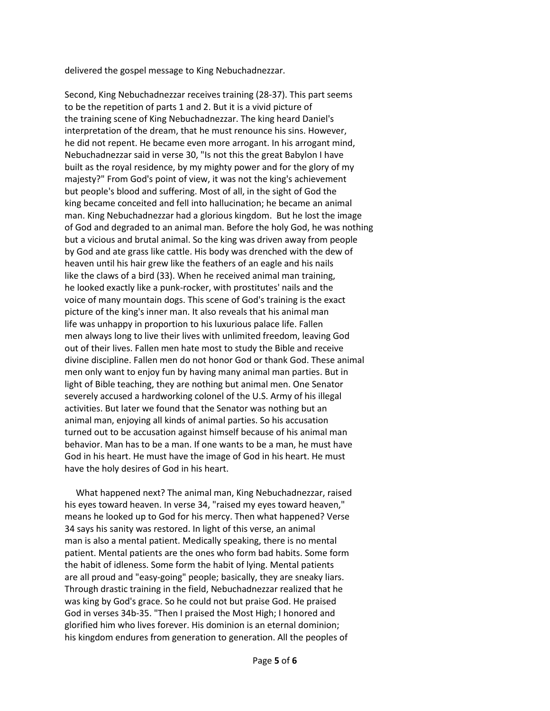delivered the gospel message to King Nebuchadnezzar.

Second, King Nebuchadnezzar receives training (28-37). This part seems to be the repetition of parts 1 and 2. But it is a vivid picture of the training scene of King Nebuchadnezzar. The king heard Daniel's interpretation of the dream, that he must renounce his sins. However, he did not repent. He became even more arrogant. In his arrogant mind, Nebuchadnezzar said in verse 30, "Is not this the great Babylon I have built as the royal residence, by my mighty power and for the glory of my majesty?" From God's point of view, it was not the king's achievement but people's blood and suffering. Most of all, in the sight of God the king became conceited and fell into hallucination; he became an animal man. King Nebuchadnezzar had a glorious kingdom. But he lost the image of God and degraded to an animal man. Before the holy God, he was nothing but a vicious and brutal animal. So the king was driven away from people by God and ate grass like cattle. His body was drenched with the dew of heaven until his hair grew like the feathers of an eagle and his nails like the claws of a bird (33). When he received animal man training, he looked exactly like a punk-rocker, with prostitutes' nails and the voice of many mountain dogs. This scene of God's training is the exact picture of the king's inner man. It also reveals that his animal man life was unhappy in proportion to his luxurious palace life. Fallen men always long to live their lives with unlimited freedom, leaving God out of their lives. Fallen men hate most to study the Bible and receive divine discipline. Fallen men do not honor God or thank God. These animal men only want to enjoy fun by having many animal man parties. But in light of Bible teaching, they are nothing but animal men. One Senator severely accused a hardworking colonel of the U.S. Army of his illegal activities. But later we found that the Senator was nothing but an animal man, enjoying all kinds of animal parties. So his accusation turned out to be accusation against himself because of his animal man behavior. Man has to be a man. If one wants to be a man, he must have God in his heart. He must have the image of God in his heart. He must have the holy desires of God in his heart.

 What happened next? The animal man, King Nebuchadnezzar, raised his eyes toward heaven. In verse 34, "raised my eyes toward heaven," means he looked up to God for his mercy. Then what happened? Verse 34 says his sanity was restored. In light of this verse, an animal man is also a mental patient. Medically speaking, there is no mental patient. Mental patients are the ones who form bad habits. Some form the habit of idleness. Some form the habit of lying. Mental patients are all proud and "easy-going" people; basically, they are sneaky liars. Through drastic training in the field, Nebuchadnezzar realized that he was king by God's grace. So he could not but praise God. He praised God in verses 34b-35. "Then I praised the Most High; I honored and glorified him who lives forever. His dominion is an eternal dominion; his kingdom endures from generation to generation. All the peoples of